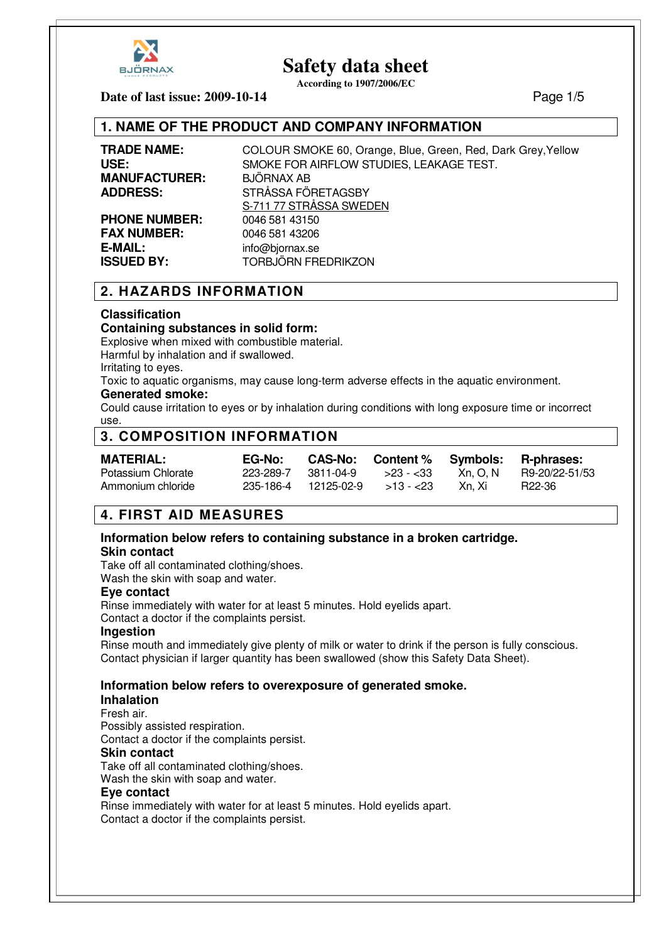

**According to 1907/2006/EC**

**Date of last issue: 2009-10-14** Page 1/5

## **1. NAME OF THE PRODUCT AND COMPANY INFORMATION**

**MANUFACTURER:** BJÖRNAX AB

**PHONE NUMBER:** 0046 581 43150 **FAX NUMBER:** 0046 581 43206 **E-MAIL:** info@biornax.se

**TRADE NAME:** COLOUR SMOKE 60, Orange, Blue, Green, Red, Dark Grey,Yellow **USE:** SMOKE FOR AIRFLOW STUDIES, LEAKAGE TEST. **ADDRESS:** STRÅSSA FÖRETAGSBY S-711 77 STRÅSSA SWEDEN **ISSUED BY:** TORBJÖRN FREDRIKZON

# **2. HAZARDS INFORMATION**

#### **Classification**

#### **Containing substances in solid form:**

Explosive when mixed with combustible material.

Harmful by inhalation and if swallowed.

Irritating to eyes.

Toxic to aquatic organisms, may cause long-term adverse effects in the aquatic environment. **Generated smoke:** 

Could cause irritation to eyes or by inhalation during conditions with long exposure time or incorrect use.

# **3. COMPOSITION INFORMATION**

| <b>MATERIAL:</b>   | <b>EG-No:</b>       | CAS-No: Content % Symbols: R-phrases: |          |                |
|--------------------|---------------------|---------------------------------------|----------|----------------|
| Potassium Chlorate | 223-289-7 3811-04-9 | $>23 - 33$                            | Xn. O. N | R9-20/22-51/53 |
| Ammonium chloride  |                     |                                       | Xn. Xi   | R22-36         |

# **4. FIRST AID MEASURES**

# **Information below refers to containing substance in a broken cartridge.**

#### **Skin contact**

Take off all contaminated clothing/shoes.

Wash the skin with soap and water.

#### **Eye contact**

Rinse immediately with water for at least 5 minutes. Hold eyelids apart. Contact a doctor if the complaints persist.

#### **Ingestion**

Rinse mouth and immediately give plenty of milk or water to drink if the person is fully conscious. Contact physician if larger quantity has been swallowed (show this Safety Data Sheet).

## **Information below refers to overexposure of generated smoke.**

#### **Inhalation**

Fresh air.

Possibly assisted respiration.

Contact a doctor if the complaints persist.

#### **Skin contact**

Take off all contaminated clothing/shoes.

Wash the skin with soap and water.

#### **Eye contact**

Rinse immediately with water for at least 5 minutes. Hold eyelids apart. Contact a doctor if the complaints persist.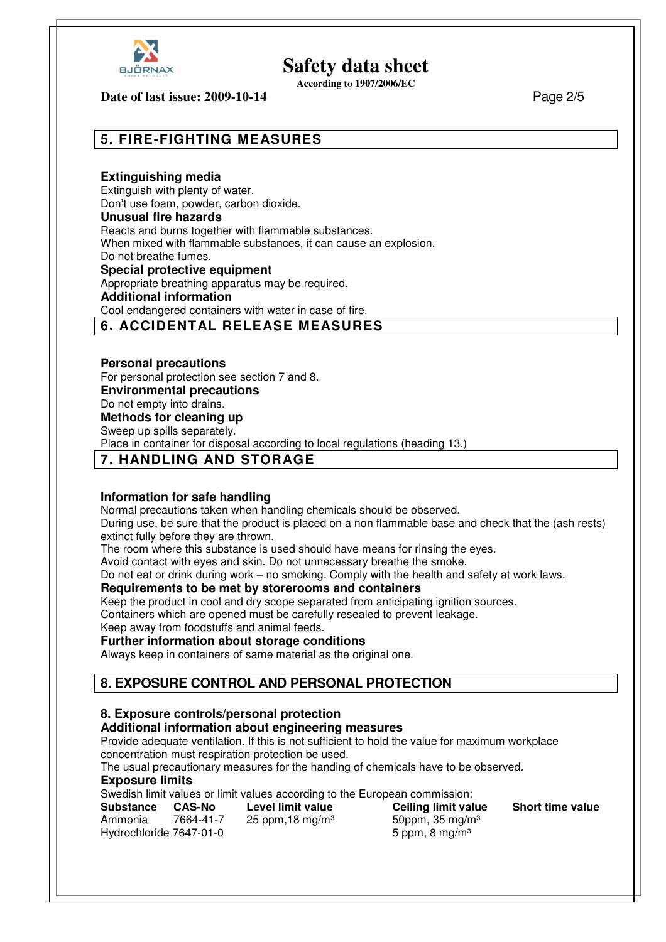

**According to 1907/2006/EC**

#### **Date of last issue: 2009-10-14** Page 2/5

# **5. FIRE-FIGHTING MEASURES**

#### **Extinguishing media**

Extinguish with plenty of water. Don't use foam, powder, carbon dioxide.

#### **Unusual fire hazards**

Reacts and burns together with flammable substances.

When mixed with flammable substances, it can cause an explosion.

Do not breathe fumes.

**Special protective equipment** 

Appropriate breathing apparatus may be required.

#### **Additional information**

Cool endangered containers with water in case of fire.

## **6. ACCIDENTAL RELEASE MEASURES**

#### **Personal precautions**

For personal protection see section 7 and 8. **Environmental precautions**  Do not empty into drains. **Methods for cleaning up** 

Sweep up spills separately.

Place in container for disposal according to local regulations (heading 13.)

### **7. HANDLING AND STORAGE**

#### **Information for safe handling**

Normal precautions taken when handling chemicals should be observed.

During use, be sure that the product is placed on a non flammable base and check that the (ash rests) extinct fully before they are thrown.

The room where this substance is used should have means for rinsing the eyes.

Avoid contact with eyes and skin. Do not unnecessary breathe the smoke.

Do not eat or drink during work – no smoking. Comply with the health and safety at work laws.

#### **Requirements to be met by storerooms and containers**

Keep the product in cool and dry scope separated from anticipating ignition sources.

Containers which are opened must be carefully resealed to prevent leakage.

Keep away from foodstuffs and animal feeds.

#### **Further information about storage conditions**

Always keep in containers of same material as the original one.

# **8. EXPOSURE CONTROL AND PERSONAL PROTECTION**

### **8. Exposure controls/personal protection**

### **Additional information about engineering measures**

Provide adequate ventilation. If this is not sufficient to hold the value for maximum workplace concentration must respiration protection be used.

The usual precautionary measures for the handing of chemicals have to be observed.

#### **Exposure limits**

Swedish limit values or limit values according to the European commission:

| Substance               | <b>CAS-No</b> | Level limit value          | Ceiling limit value | <b>Short time value</b> |
|-------------------------|---------------|----------------------------|---------------------|-------------------------|
| Ammonia                 | 7664-41-7     | 25 ppm, 18 mg/m $3$        | 50ppm, 35 mg/m $3$  |                         |
| Hydrochloride 7647-01-0 |               | 5 ppm, 8 mg/m <sup>3</sup> |                     |                         |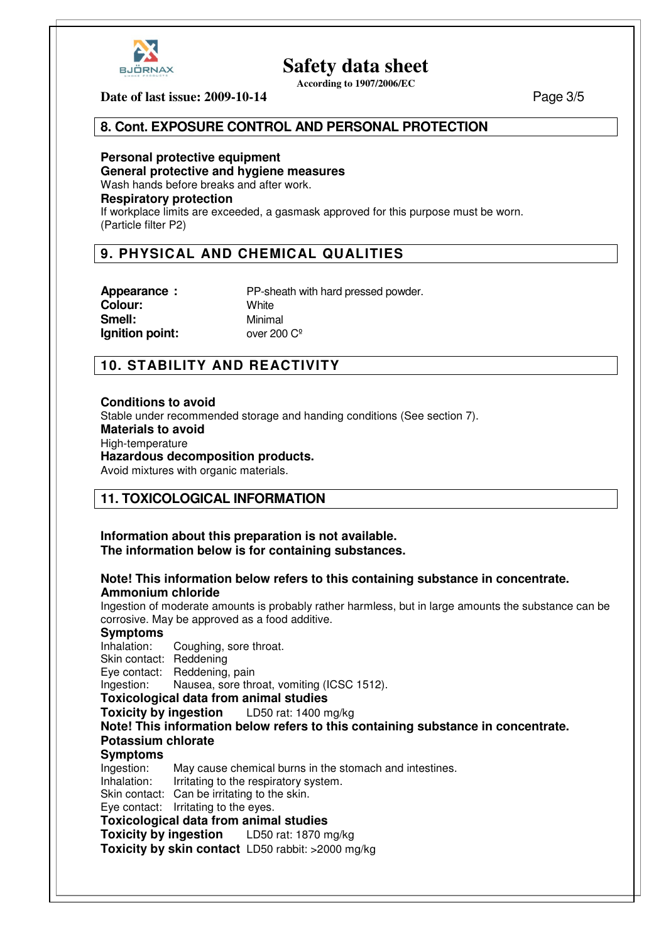

**According to 1907/2006/EC**

**Date of last issue: 2009-10-14** Page 3/5

## **8. Cont. EXPOSURE CONTROL AND PERSONAL PROTECTION**

**Personal protective equipment General protective and hygiene measures**  Wash hands before breaks and after work. **Respiratory protection**  If workplace limits are exceeded, a gasmask approved for this purpose must be worn. (Particle filter P2)

# **9. PHYSICAL AND CHEMICAL QUALITIES**

**Colour:** White **Smell:** Minimal **Ignition point:** over 200 C<sup>o</sup>

**Appearance :** PP-sheath with hard pressed powder.

# **10. STABILITY AND REACTIVITY**

#### **Conditions to avoid**

Stable under recommended storage and handing conditions (See section 7). **Materials to avoid**  High-temperature **Hazardous decomposition products.** 

Avoid mixtures with organic materials.

## **11. TOXICOLOGICAL INFORMATION**

**Information about this preparation is not available. The information below is for containing substances.**

#### **Note! This information below refers to this containing substance in concentrate. Ammonium chloride**

Ingestion of moderate amounts is probably rather harmless, but in large amounts the substance can be corrosive. May be approved as a food additive.

**Symptoms**  Coughing, sore throat. Skin contact: Reddening Eye contact: Reddening, pain Ingestion: Nausea, sore throat, vomiting (ICSC 1512). **Toxicological data from animal studies Toxicity by ingestion** LD50 rat: 1400 mg/kg **Note! This information below refers to this containing substance in concentrate. Potassium chlorate Symptoms**  Ingestion: May cause chemical burns in the stomach and intestines. Inhalation: Irritating to the respiratory system. Skin contact: Can be irritating to the skin. Eye contact: Irritating to the eyes. **Toxicological data from animal studies Toxicity by ingestion** LD50 rat: 1870 mg/kg **Toxicity by skin contact** LD50 rabbit: >2000 mg/kg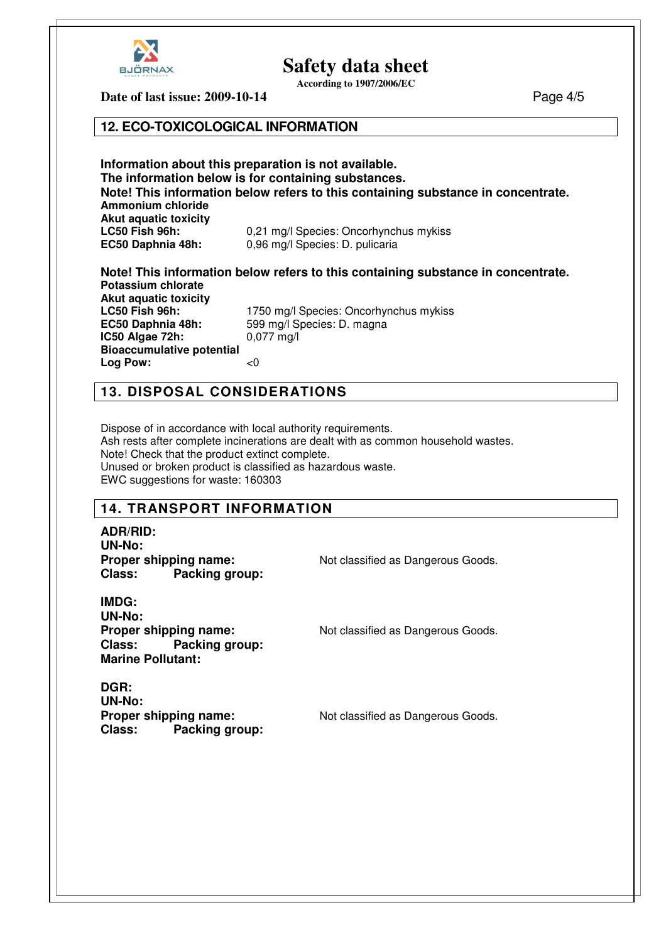

**According to 1907/2006/EC**

**Date of last issue: 2009-10-14** Page 4/5

#### **12. ECO-TOXICOLOGICAL INFORMATION**

**Information about this preparation is not available. The information below is for containing substances. Note! This information below refers to this containing substance in concentrate. Ammonium chloride Akut aquatic toxicity LC50 Fish 96h:** 0,21 mg/l Species: Oncorhynchus mykiss **EC50 Daphnia 48h:** 0,96 mg/l Species: D. pulicaria

#### **Note! This information below refers to this containing substance in concentrate. Potassium chlorate**

**Akut aquatic toxicity IC50 Algae 72h: Bioaccumulative potential Log Pow:** <0

**LC50 Fish 96h:** 1750 mg/l Species: Oncorhynchus mykiss<br> **EC50 Daphnia 48h:** 599 mg/l Species: D. magna 599 mg/l Species: D. magna<br>0,077 mg/l

# **13. DISPOSAL CONSIDERATIONS**

Dispose of in accordance with local authority requirements. Ash rests after complete incinerations are dealt with as common household wastes. Note! Check that the product extinct complete. Unused or broken product is classified as hazardous waste. EWC suggestions for waste: 160303

# **14. TRANSPORT INFORMATION**

**ADR/RID: UN-No: Class: Packing group:** 

**Proper shipping name:** Not classified as Dangerous Goods.

**IMDG: UN-No: Proper shipping name:** Not classified as Dangerous Goods. **Class: Packing group: Marine Pollutant:** 

**DGR: UN-No: Proper shipping name:** Not classified as Dangerous Goods. **Class: Packing group:**